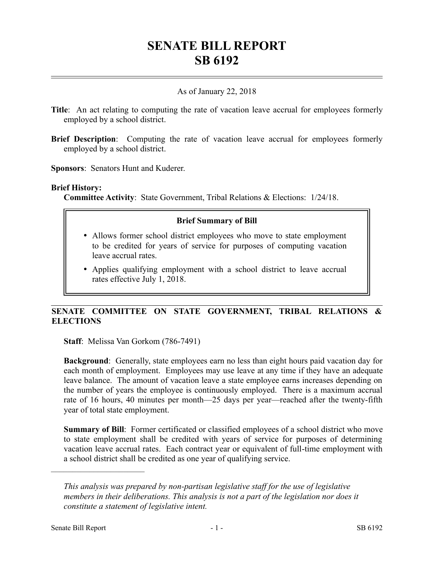# **SENATE BILL REPORT SB 6192**

## As of January 22, 2018

- **Title**: An act relating to computing the rate of vacation leave accrual for employees formerly employed by a school district.
- **Brief Description:** Computing the rate of vacation leave accrual for employees formerly employed by a school district.

**Sponsors**: Senators Hunt and Kuderer.

#### **Brief History:**

**Committee Activity**: State Government, Tribal Relations & Elections: 1/24/18.

## **Brief Summary of Bill**

- Allows former school district employees who move to state employment to be credited for years of service for purposes of computing vacation leave accrual rates.
- Applies qualifying employment with a school district to leave accrual rates effective July 1, 2018.

## **SENATE COMMITTEE ON STATE GOVERNMENT, TRIBAL RELATIONS & ELECTIONS**

**Staff**: Melissa Van Gorkom (786-7491)

**Background**: Generally, state employees earn no less than eight hours paid vacation day for each month of employment. Employees may use leave at any time if they have an adequate leave balance. The amount of vacation leave a state employee earns increases depending on the number of years the employee is continuously employed. There is a maximum accrual rate of 16 hours, 40 minutes per month—25 days per year—reached after the twenty-fifth year of total state employment.

**Summary of Bill**: Former certificated or classified employees of a school district who move to state employment shall be credited with years of service for purposes of determining vacation leave accrual rates. Each contract year or equivalent of full-time employment with a school district shall be credited as one year of qualifying service.

––––––––––––––––––––––

*This analysis was prepared by non-partisan legislative staff for the use of legislative members in their deliberations. This analysis is not a part of the legislation nor does it constitute a statement of legislative intent.*